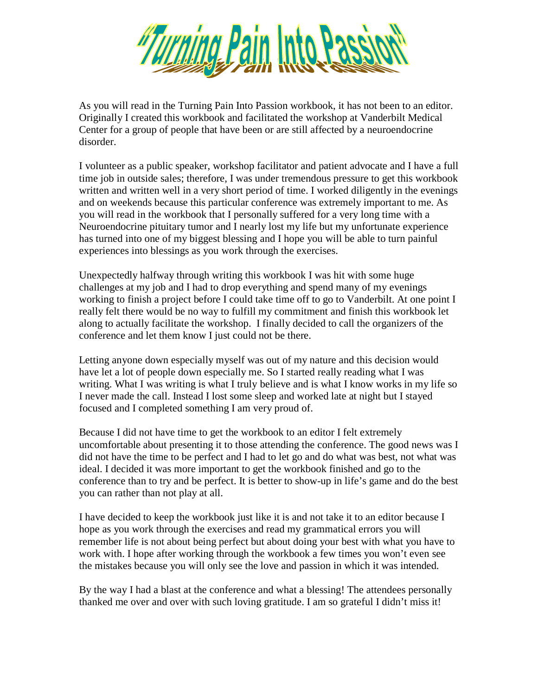

As you will read in the Turning Pain Into Passion workbook, it has not been to an editor. Originally I created this workbook and facilitated the workshop at Vanderbilt Medical Center for a group of people that have been or are still affected by a neuroendocrine disorder.

I volunteer as a public speaker, workshop facilitator and patient advocate and I have a full time job in outside sales; therefore, I was under tremendous pressure to get this workbook written and written well in a very short period of time. I worked diligently in the evenings and on weekends because this particular conference was extremely important to me. As you will read in the workbook that I personally suffered for a very long time with a Neuroendocrine pituitary tumor and I nearly lost my life but my unfortunate experience has turned into one of my biggest blessing and I hope you will be able to turn painful experiences into blessings as you work through the exercises.

Unexpectedly halfway through writing this workbook I was hit with some huge challenges at my job and I had to drop everything and spend many of my evenings working to finish a project before I could take time off to go to Vanderbilt. At one point I really felt there would be no way to fulfill my commitment and finish this workbook let along to actually facilitate the workshop. I finally decided to call the organizers of the conference and let them know I just could not be there.

Letting anyone down especially myself was out of my nature and this decision would have let a lot of people down especially me. So I started really reading what I was writing. What I was writing is what I truly believe and is what I know works in my life so I never made the call. Instead I lost some sleep and worked late at night but I stayed focused and I completed something I am very proud of.

Because I did not have time to get the workbook to an editor I felt extremely uncomfortable about presenting it to those attending the conference. The good news was I did not have the time to be perfect and I had to let go and do what was best, not what was ideal. I decided it was more important to get the workbook finished and go to the conference than to try and be perfect. It is better to show-up in life's game and do the best you can rather than not play at all.

I have decided to keep the workbook just like it is and not take it to an editor because I hope as you work through the exercises and read my grammatical errors you will remember life is not about being perfect but about doing your best with what you have to work with. I hope after working through the workbook a few times you won't even see the mistakes because you will only see the love and passion in which it was intended.

By the way I had a blast at the conference and what a blessing! The attendees personally thanked me over and over with such loving gratitude. I am so grateful I didn't miss it!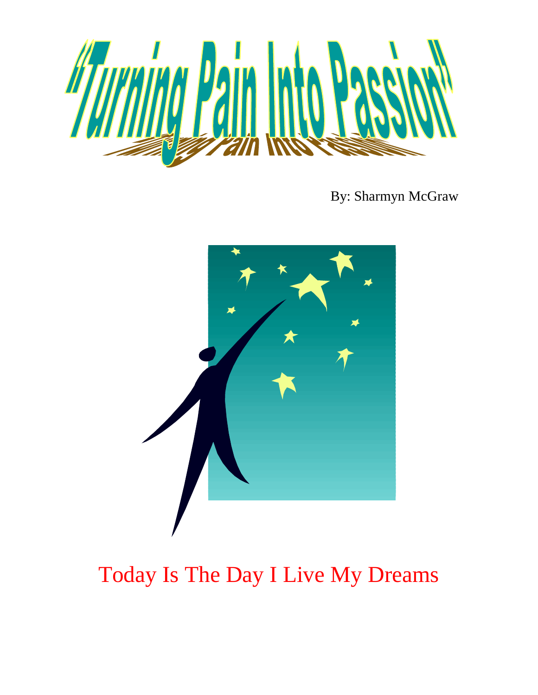

By: Sharmyn McGraw



## Today Is The Day I Live My Dreams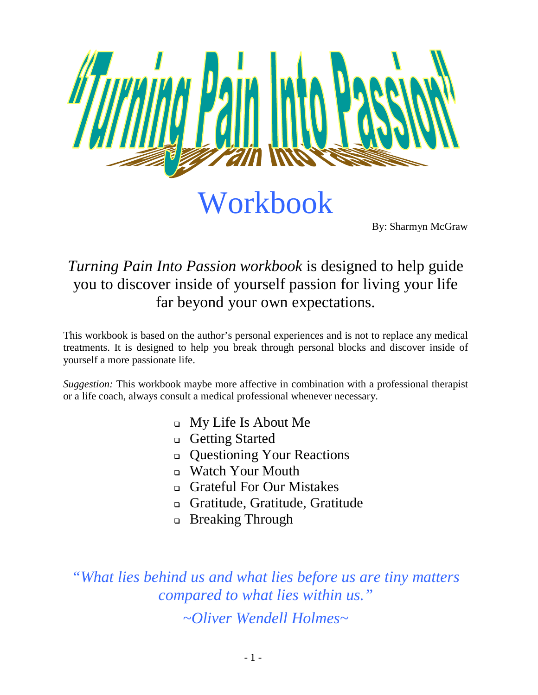

Workbook

By: Sharmyn McGraw

### *Turning Pain Into Passion workbook* is designed to help guide you to discover inside of yourself passion for living your life far beyond your own expectations.

This workbook is based on the author's personal experiences and is not to replace any medical treatments. It is designed to help you break through personal blocks and discover inside of yourself a more passionate life.

*Suggestion:* This workbook maybe more affective in combination with a professional therapist or a life coach, always consult a medical professional whenever necessary.

- My Life Is About Me
- □ Getting Started
- Questioning Your Reactions
- □ Watch Your Mouth
- Grateful For Our Mistakes
- Gratitude, Gratitude, Gratitude
- **Breaking Through**

*"What lies behind us and what lies before us are tiny matters compared to what lies within us."*

*~Oliver Wendell Holmes~*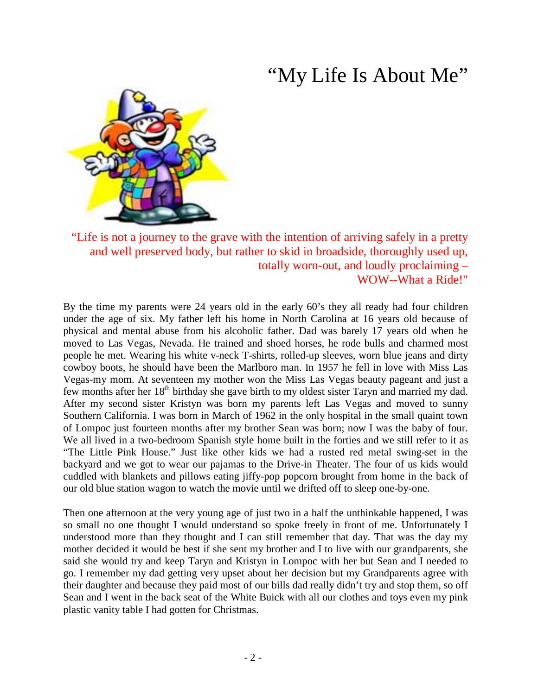## "My Life Is About Me"



"Life is not a journey to the grave with the intention of arriving safely in a pretty and well preserved body, but rather to skid in broadside, thoroughly used up, totally worn-out, and loudly proclaiming – WOW--What a Ride!"

By the time my parents were 24 years old in the early 60's they all ready had four children under the age of six. My father left his home in North Carolina at 16 years old because of physical and mental abuse from his alcoholic father. Dad was barely 17 years old when he moved to Las Vegas, Nevada. He trained and shoed horses, he rode bulls and charmed most people he met. Wearing his white v-neck T-shirts, rolled-up sleeves, worn blue jeans and dirty cowboy boots, he should have been the Marlboro man. In 1957 he fell in love with Miss Las Vegas-my mom. At seventeen my mother won the Miss Las Vegas beauty pageant and just a few months after her 18<sup>th</sup> birthday she gave birth to my oldest sister Taryn and married my dad. After my second sister Kristyn was born my parents left Las Vegas and moved to sunny Southern California. I was born in March of 1962 in the only hospital in the small quaint town of Lompoc just fourteen months after my brother Sean was born; now I was the baby of four. We all lived in a two-bedroom Spanish style home built in the forties and we still refer to it as "The Little Pink House." Just like other kids we had a rusted red metal swing-set in the backyard and we got to wear our pajamas to the Drive-in Theater. The four of us kids would cuddled with blankets and pillows eating jiffy-pop popcorn brought from home in the back of our old blue station wagon to watch the movie until we drifted off to sleep one-by-one.

Then one afternoon at the very young age of just two in a half the unthinkable happened, I was so small no one thought I would understand so spoke freely in front of me. Unfortunately I understood more than they thought and I can still remember that day. That was the day my mother decided it would be best if she sent my brother and I to live with our grandparents, she said she would try and keep Taryn and Kristyn in Lompoc with her but Sean and I needed to go. I remember my dad getting very upset about her decision but my Grandparents agree with their daughter and because they paid most of our bills dad really didn't try and stop them, so off Sean and I went in the back seat of the White Buick with all our clothes and toys even my pink plastic vanity table I had gotten for Christmas.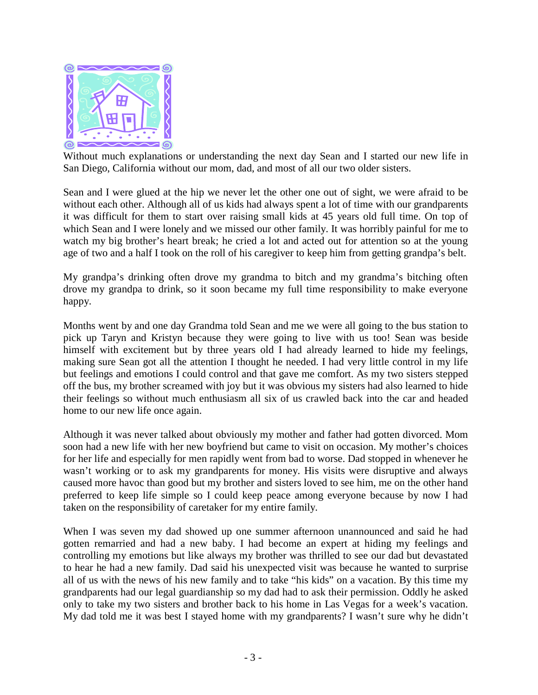

Without much explanations or understanding the next day Sean and I started our new life in San Diego, California without our mom, dad, and most of all our two older sisters.

Sean and I were glued at the hip we never let the other one out of sight, we were afraid to be without each other. Although all of us kids had always spent a lot of time with our grandparents it was difficult for them to start over raising small kids at 45 years old full time. On top of which Sean and I were lonely and we missed our other family. It was horribly painful for me to watch my big brother's heart break; he cried a lot and acted out for attention so at the young age of two and a half I took on the roll of his caregiver to keep him from getting grandpa's belt.

My grandpa's drinking often drove my grandma to bitch and my grandma's bitching often drove my grandpa to drink, so it soon became my full time responsibility to make everyone happy.

Months went by and one day Grandma told Sean and me we were all going to the bus station to pick up Taryn and Kristyn because they were going to live with us too! Sean was beside himself with excitement but by three years old I had already learned to hide my feelings, making sure Sean got all the attention I thought he needed. I had very little control in my life but feelings and emotions I could control and that gave me comfort. As my two sisters stepped off the bus, my brother screamed with joy but it was obvious my sisters had also learned to hide their feelings so without much enthusiasm all six of us crawled back into the car and headed home to our new life once again.

Although it was never talked about obviously my mother and father had gotten divorced. Mom soon had a new life with her new boyfriend but came to visit on occasion. My mother's choices for her life and especially for men rapidly went from bad to worse. Dad stopped in whenever he wasn't working or to ask my grandparents for money. His visits were disruptive and always caused more havoc than good but my brother and sisters loved to see him, me on the other hand preferred to keep life simple so I could keep peace among everyone because by now I had taken on the responsibility of caretaker for my entire family.

When I was seven my dad showed up one summer afternoon unannounced and said he had gotten remarried and had a new baby. I had become an expert at hiding my feelings and controlling my emotions but like always my brother was thrilled to see our dad but devastated to hear he had a new family. Dad said his unexpected visit was because he wanted to surprise all of us with the news of his new family and to take "his kids" on a vacation. By this time my grandparents had our legal guardianship so my dad had to ask their permission. Oddly he asked only to take my two sisters and brother back to his home in Las Vegas for a week's vacation. My dad told me it was best I stayed home with my grandparents? I wasn't sure why he didn't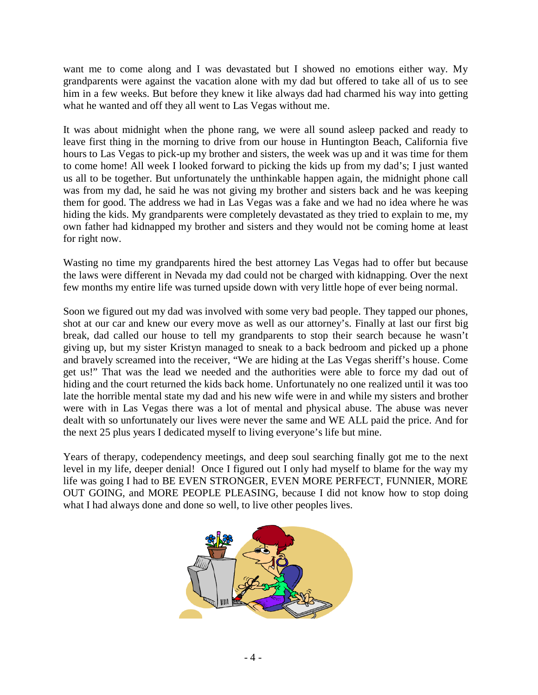want me to come along and I was devastated but I showed no emotions either way. My grandparents were against the vacation alone with my dad but offered to take all of us to see him in a few weeks. But before they knew it like always dad had charmed his way into getting what he wanted and off they all went to Las Vegas without me.

It was about midnight when the phone rang, we were all sound asleep packed and ready to leave first thing in the morning to drive from our house in Huntington Beach, California five hours to Las Vegas to pick-up my brother and sisters, the week was up and it was time for them to come home! All week I looked forward to picking the kids up from my dad's; I just wanted us all to be together. But unfortunately the unthinkable happen again, the midnight phone call was from my dad, he said he was not giving my brother and sisters back and he was keeping them for good. The address we had in Las Vegas was a fake and we had no idea where he was hiding the kids. My grandparents were completely devastated as they tried to explain to me, my own father had kidnapped my brother and sisters and they would not be coming home at least for right now.

Wasting no time my grandparents hired the best attorney Las Vegas had to offer but because the laws were different in Nevada my dad could not be charged with kidnapping. Over the next few months my entire life was turned upside down with very little hope of ever being normal.

Soon we figured out my dad was involved with some very bad people. They tapped our phones, shot at our car and knew our every move as well as our attorney's. Finally at last our first big break, dad called our house to tell my grandparents to stop their search because he wasn't giving up, but my sister Kristyn managed to sneak to a back bedroom and picked up a phone and bravely screamed into the receiver, "We are hiding at the Las Vegas sheriff's house. Come get us!" That was the lead we needed and the authorities were able to force my dad out of hiding and the court returned the kids back home. Unfortunately no one realized until it was too late the horrible mental state my dad and his new wife were in and while my sisters and brother were with in Las Vegas there was a lot of mental and physical abuse. The abuse was never dealt with so unfortunately our lives were never the same and WE ALL paid the price. And for the next 25 plus years I dedicated myself to living everyone's life but mine.

Years of therapy, codependency meetings, and deep soul searching finally got me to the next level in my life, deeper denial! Once I figured out I only had myself to blame for the way my life was going I had to BE EVEN STRONGER, EVEN MORE PERFECT, FUNNIER, MORE OUT GOING, and MORE PEOPLE PLEASING, because I did not know how to stop doing what I had always done and done so well, to live other peoples lives.

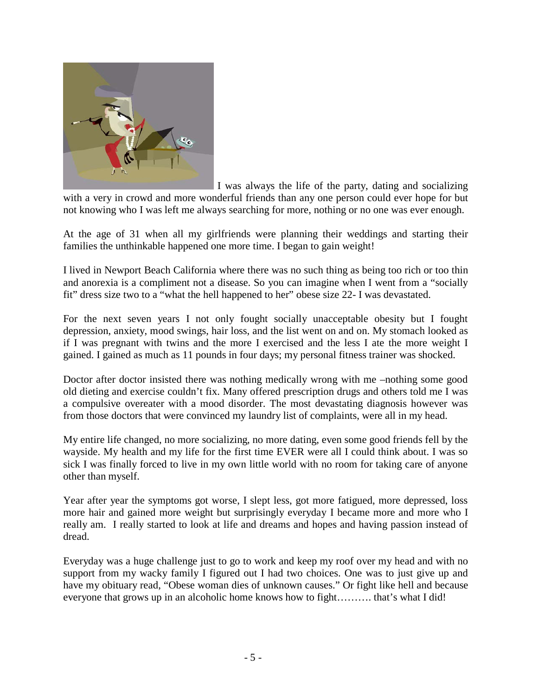

I was always the life of the party, dating and socializing with a very in crowd and more wonderful friends than any one person could ever hope for but not knowing who I was left me always searching for more, nothing or no one was ever enough.

At the age of 31 when all my girlfriends were planning their weddings and starting their families the unthinkable happened one more time. I began to gain weight!

I lived in Newport Beach California where there was no such thing as being too rich or too thin and anorexia is a compliment not a disease. So you can imagine when I went from a "socially fit" dress size two to a "what the hell happened to her" obese size 22- I was devastated.

For the next seven years I not only fought socially unacceptable obesity but I fought depression, anxiety, mood swings, hair loss, and the list went on and on. My stomach looked as if I was pregnant with twins and the more I exercised and the less I ate the more weight I gained. I gained as much as 11 pounds in four days; my personal fitness trainer was shocked.

Doctor after doctor insisted there was nothing medically wrong with me –nothing some good old dieting and exercise couldn't fix. Many offered prescription drugs and others told me I was a compulsive overeater with a mood disorder. The most devastating diagnosis however was from those doctors that were convinced my laundry list of complaints, were all in my head.

My entire life changed, no more socializing, no more dating, even some good friends fell by the wayside. My health and my life for the first time EVER were all I could think about. I was so sick I was finally forced to live in my own little world with no room for taking care of anyone other than myself.

Year after year the symptoms got worse, I slept less, got more fatigued, more depressed, loss more hair and gained more weight but surprisingly everyday I became more and more who I really am. I really started to look at life and dreams and hopes and having passion instead of dread.

Everyday was a huge challenge just to go to work and keep my roof over my head and with no support from my wacky family I figured out I had two choices. One was to just give up and have my obituary read, "Obese woman dies of unknown causes." Or fight like hell and because everyone that grows up in an alcoholic home knows how to fight………. that's what I did!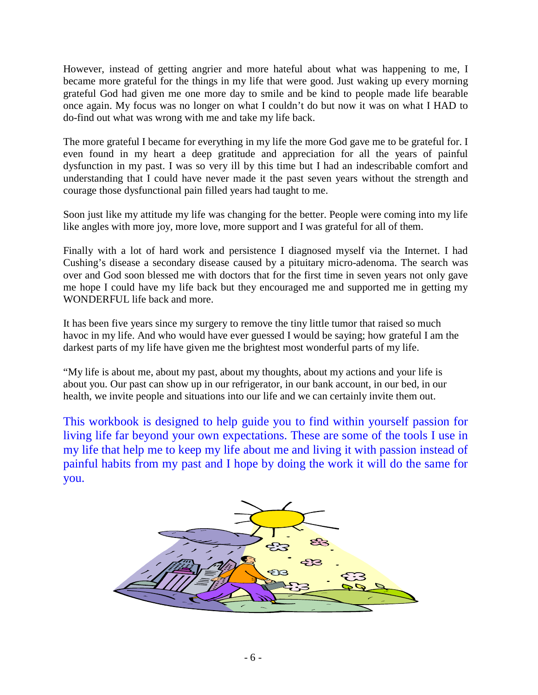However, instead of getting angrier and more hateful about what was happening to me, I became more grateful for the things in my life that were good. Just waking up every morning grateful God had given me one more day to smile and be kind to people made life bearable once again. My focus was no longer on what I couldn't do but now it was on what I HAD to do-find out what was wrong with me and take my life back.

The more grateful I became for everything in my life the more God gave me to be grateful for. I even found in my heart a deep gratitude and appreciation for all the years of painful dysfunction in my past. I was so very ill by this time but I had an indescribable comfort and understanding that I could have never made it the past seven years without the strength and courage those dysfunctional pain filled years had taught to me.

Soon just like my attitude my life was changing for the better. People were coming into my life like angles with more joy, more love, more support and I was grateful for all of them.

Finally with a lot of hard work and persistence I diagnosed myself via the Internet. I had Cushing's disease a secondary disease caused by a pituitary micro-adenoma. The search was over and God soon blessed me with doctors that for the first time in seven years not only gave me hope I could have my life back but they encouraged me and supported me in getting my WONDERFUL life back and more.

It has been five years since my surgery to remove the tiny little tumor that raised so much havoc in my life. And who would have ever guessed I would be saying; how grateful I am the darkest parts of my life have given me the brightest most wonderful parts of my life.

"My life is about me, about my past, about my thoughts, about my actions and your life is about you. Our past can show up in our refrigerator, in our bank account, in our bed, in our health, we invite people and situations into our life and we can certainly invite them out.

This workbook is designed to help guide you to find within yourself passion for living life far beyond your own expectations. These are some of the tools I use in my life that help me to keep my life about me and living it with passion instead of painful habits from my past and I hope by doing the work it will do the same for you.

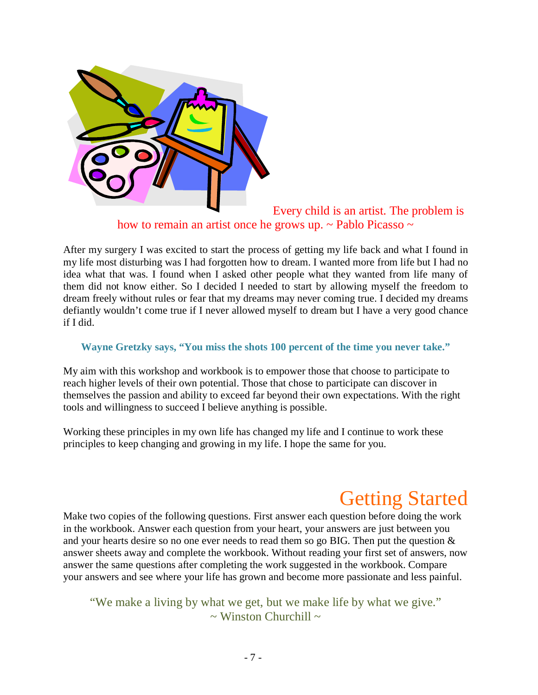

Every child is an artist. The problem is how to remain an artist once he grows up. ~ Pablo Picasso ~

After my surgery I was excited to start the process of getting my life back and what I found in my life most disturbing was I had forgotten how to dream. I wanted more from life but I had no idea what that was. I found when I asked other people what they wanted from life many of them did not know either. So I decided I needed to start by allowing myself the freedom to dream freely without rules or fear that my dreams may never coming true. I decided my dreams defiantly wouldn't come true if I never allowed myself to dream but I have a very good chance if I did.

#### **Wayne Gretzky says, "You miss the shots 100 percent of the time you never take."**

My aim with this workshop and workbook is to empower those that choose to participate to reach higher levels of their own potential. Those that chose to participate can discover in themselves the passion and ability to exceed far beyond their own expectations. With the right tools and willingness to succeed I believe anything is possible.

Working these principles in my own life has changed my life and I continue to work these principles to keep changing and growing in my life. I hope the same for you.

## Getting Started

Make two copies of the following questions. First answer each question before doing the work in the workbook. Answer each question from your heart, your answers are just between you and your hearts desire so no one ever needs to read them so go BIG. Then put the question & answer sheets away and complete the workbook. Without reading your first set of answers, now answer the same questions after completing the work suggested in the workbook. Compare your answers and see where your life has grown and become more passionate and less painful.

"We make a living by what we get, but we make life by what we give."  $\sim$  Winston Churchill  $\sim$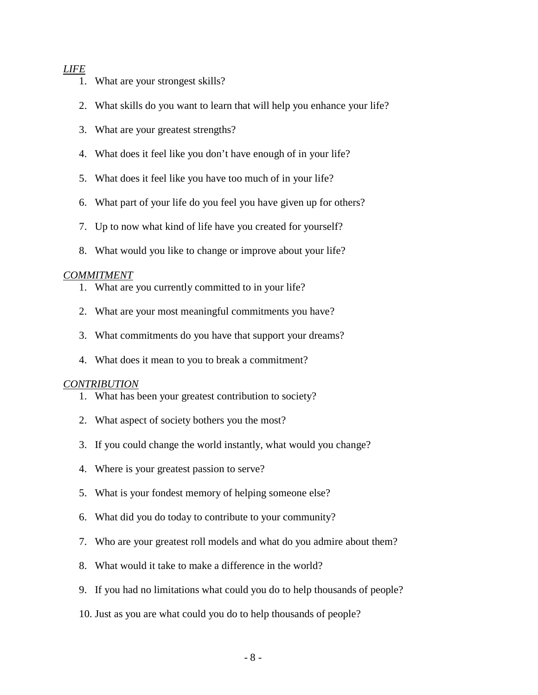#### *LIFE*

- 1. What are your strongest skills?
- 2. What skills do you want to learn that will help you enhance your life?
- 3. What are your greatest strengths?
- 4. What does it feel like you don't have enough of in your life?
- 5. What does it feel like you have too much of in your life?
- 6. What part of your life do you feel you have given up for others?
- 7. Up to now what kind of life have you created for yourself?
- 8. What would you like to change or improve about your life?

#### *COMMITMENT*

- 1. What are you currently committed to in your life?
- 2. What are your most meaningful commitments you have?
- 3. What commitments do you have that support your dreams?
- 4. What does it mean to you to break a commitment?

#### *CONTRIBUTION*

- 1. What has been your greatest contribution to society?
- 2. What aspect of society bothers you the most?
- 3. If you could change the world instantly, what would you change?
- 4. Where is your greatest passion to serve?
- 5. What is your fondest memory of helping someone else?
- 6. What did you do today to contribute to your community?
- 7. Who are your greatest roll models and what do you admire about them?
- 8. What would it take to make a difference in the world?
- 9. If you had no limitations what could you do to help thousands of people?
- 10. Just as you are what could you do to help thousands of people?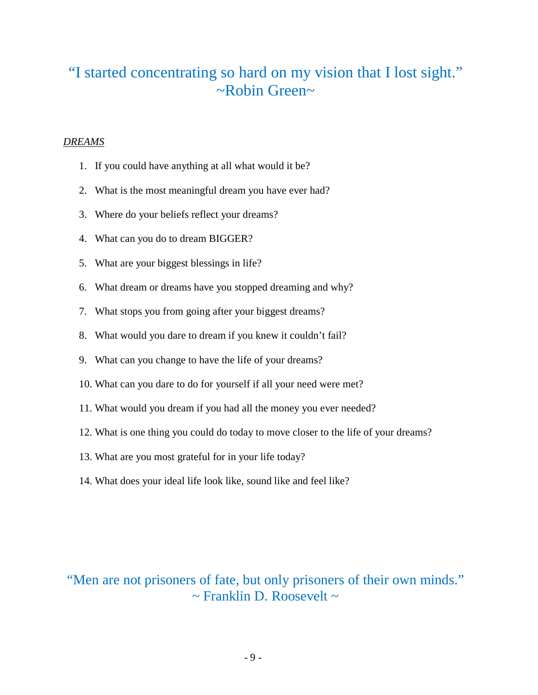### "I started concentrating so hard on my vision that I lost sight." ~Robin Green~

#### *DREAMS*

- 1. If you could have anything at all what would it be?
- 2. What is the most meaningful dream you have ever had?
- 3. Where do your beliefs reflect your dreams?
- 4. What can you do to dream BIGGER?
- 5. What are your biggest blessings in life?
- 6. What dream or dreams have you stopped dreaming and why?
- 7. What stops you from going after your biggest dreams?
- 8. What would you dare to dream if you knew it couldn't fail?
- 9. What can you change to have the life of your dreams?
- 10. What can you dare to do for yourself if all your need were met?
- 11. What would you dream if you had all the money you ever needed?
- 12. What is one thing you could do today to move closer to the life of your dreams?
- 13. What are you most grateful for in your life today?
- 14. What does your ideal life look like, sound like and feel like?

### "Men are not prisoners of fate, but only prisoners of their own minds."  $\sim$  Franklin D. Roosevelt  $\sim$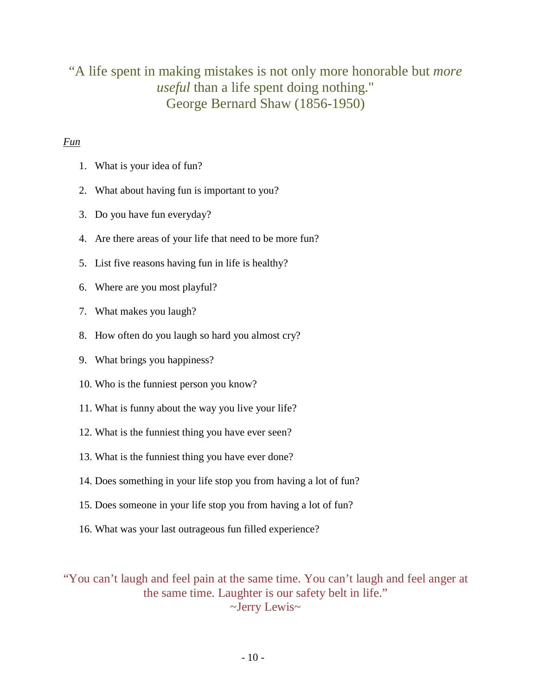### "A life spent in making mistakes is not only more honorable but *more useful* than a life spent doing nothing." George Bernard Shaw (1856-1950)

#### *Fun*

- 1. What is your idea of fun?
- 2. What about having fun is important to you?
- 3. Do you have fun everyday?
- 4. Are there areas of your life that need to be more fun?
- 5. List five reasons having fun in life is healthy?
- 6. Where are you most playful?
- 7. What makes you laugh?
- 8. How often do you laugh so hard you almost cry?
- 9. What brings you happiness?
- 10. Who is the funniest person you know?
- 11. What is funny about the way you live your life?
- 12. What is the funniest thing you have ever seen?
- 13. What is the funniest thing you have ever done?
- 14. Does something in your life stop you from having a lot of fun?
- 15. Does someone in your life stop you from having a lot of fun?
- 16. What was your last outrageous fun filled experience?

"You can't laugh and feel pain at the same time. You can't laugh and feel anger at the same time. Laughter is our safety belt in life." ~Jerry Lewis~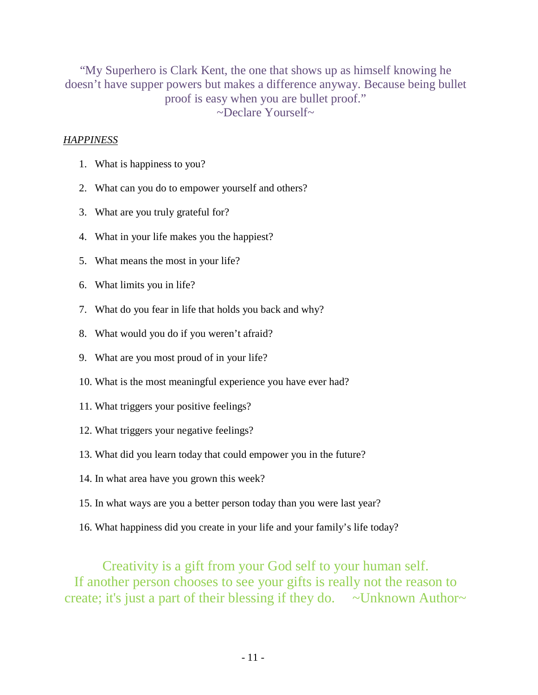"My Superhero is Clark Kent, the one that shows up as himself knowing he doesn't have supper powers but makes a difference anyway. Because being bullet proof is easy when you are bullet proof." ~Declare Yourself~

#### *HAPPINESS*

- 1. What is happiness to you?
- 2. What can you do to empower yourself and others?
- 3. What are you truly grateful for?
- 4. What in your life makes you the happiest?
- 5. What means the most in your life?
- 6. What limits you in life?
- 7. What do you fear in life that holds you back and why?
- 8. What would you do if you weren't afraid?
- 9. What are you most proud of in your life?
- 10. What is the most meaningful experience you have ever had?
- 11. What triggers your positive feelings?
- 12. What triggers your negative feelings?
- 13. What did you learn today that could empower you in the future?
- 14. In what area have you grown this week?
- 15. In what ways are you a better person today than you were last year?
- 16. What happiness did you create in your life and your family's life today?

#### Creativity is a gift from your God self to your human self.

If another person chooses to see your gifts is really not the reason to create; it's just a part of their blessing if they do.  $\sim$  Unknown Author $\sim$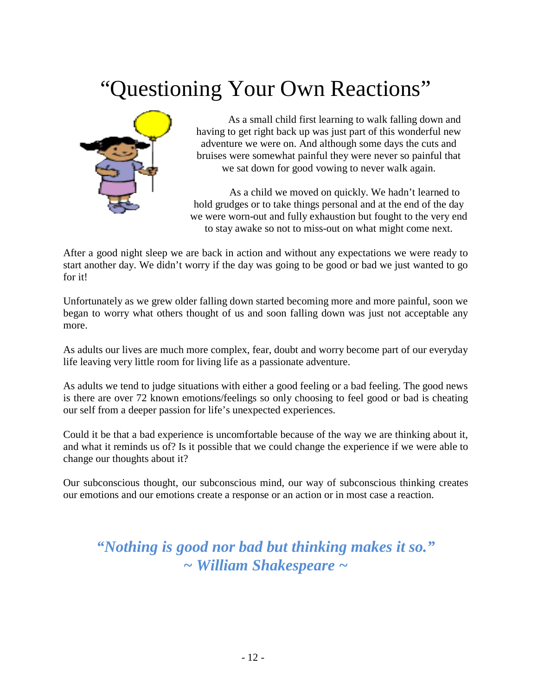## Questioning Your Own Reactions"



As a small child first learning to walk falling down and having to get right back up was just part of this wonderful new adventure we were on. And although some days the cuts and bruises were somewhat painful they were never so painful that we sat down for good vowing to never walk again.

As a child we moved on quickly. We hadn't learned to hold grudges or to take things personal and at the end of the day we were worn-out and fully exhaustion but fought to the very end to stay awake so not to miss-out on what might come next.

After a good night sleep we are back in action and without any expectations we were ready to start another day. We didn't worry if the day was going to be good or bad we just wanted to go for it!

Unfortunately as we grew older falling down started becoming more and more painful, soon we began to worry what others thought of us and soon falling down was just not acceptable any more.

As adults our lives are much more complex, fear, doubt and worry become part of our everyday life leaving very little room for living life as a passionate adventure.

As adults we tend to judge situations with either a good feeling or a bad feeling. The good news is there are over 72 known emotions/feelings so only choosing to feel good or bad is cheating our self from a deeper passion for life's unexpected experiences.

Could it be that a bad experience is uncomfortable because of the way we are thinking about it, and what it reminds us of? Is it possible that we could change the experience if we were able to change our thoughts about it?

Our subconscious thought, our subconscious mind, our way of subconscious thinking creates our emotions and our emotions create a response or an action or in most case a reaction.

*"Nothing is good nor bad but thinking makes it so." ~ William Shakespeare ~*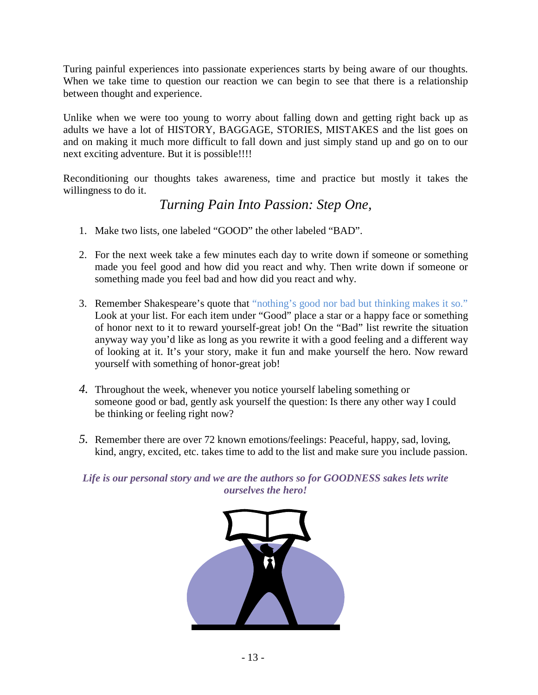Turing painful experiences into passionate experiences starts by being aware of our thoughts. When we take time to question our reaction we can begin to see that there is a relationship between thought and experience.

Unlike when we were too young to worry about falling down and getting right back up as adults we have a lot of HISTORY, BAGGAGE, STORIES, MISTAKES and the list goes on and on making it much more difficult to fall down and just simply stand up and go on to our next exciting adventure. But it is possible!!!!

Reconditioning our thoughts takes awareness, time and practice but mostly it takes the willingness to do it.

*Turning Pain Into Passion: Step One,*

- 1. Make two lists, one labeled "GOOD" the other labeled "BAD".
- 2. For the next week take a few minutes each day to write down if someone or something made you feel good and how did you react and why. Then write down if someone or something made you feel bad and how did you react and why.
- 3. Remember Shakespeare's quote that "nothing's good nor bad but thinking makes it so." Look at your list. For each item under "Good" place a star or a happy face or something of honor next to it to reward yourself-great job! On the "Bad" list rewrite the situation anyway way you'd like as long as you rewrite it with a good feeling and a different way of looking at it. It's your story, make it fun and make yourself the hero. Now reward yourself with something of honor-great job!
- *4.* Throughout the week, whenever you notice yourself labeling something or someone good or bad, gently ask yourself the question: Is there any other way I could be thinking or feeling right now?
- *5.* Remember there are over 72 known emotions/feelings: Peaceful, happy, sad, loving, kind, angry, excited, etc. takes time to add to the list and make sure you include passion.

*Life is our personal story and we are the authors so for GOODNESS sakes lets write ourselves the hero!*

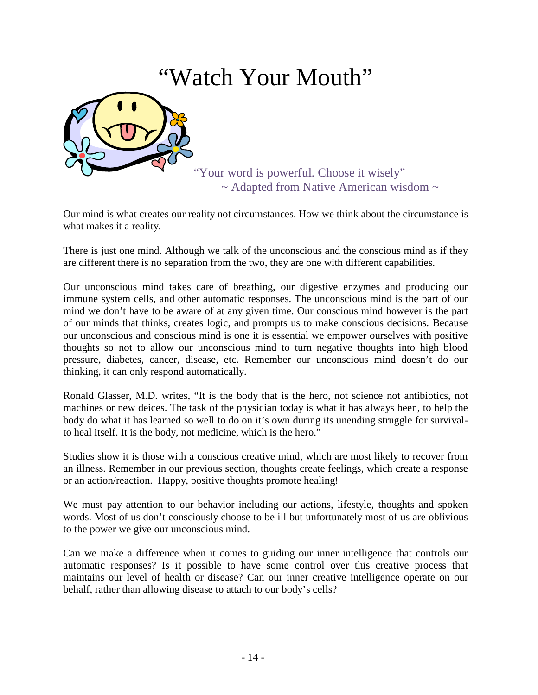## "Watch Your Mouth"

"Your word is powerful. Choose it wisely"  $\sim$  Adapted from Native American wisdom  $\sim$ 

Our mind is what creates our reality not circumstances. How we think about the circumstance is what makes it a reality.

There is just one mind. Although we talk of the unconscious and the conscious mind as if they are different there is no separation from the two, they are one with different capabilities.

Our unconscious mind takes care of breathing, our digestive enzymes and producing our immune system cells, and other automatic responses. The unconscious mind is the part of our mind we don't have to be aware of at any given time. Our conscious mind however is the part of our minds that thinks, creates logic, and prompts us to make conscious decisions. Because our unconscious and conscious mind is one it is essential we empower ourselves with positive thoughts so not to allow our unconscious mind to turn negative thoughts into high blood pressure, diabetes, cancer, disease, etc. Remember our unconscious mind doesn't do our thinking, it can only respond automatically.

Ronald Glasser, M.D. writes, "It is the body that is the hero, not science not antibiotics, not machines or new deices. The task of the physician today is what it has always been, to help the body do what it has learned so well to do on it's own during its unending struggle for survivalto heal itself. It is the body, not medicine, which is the hero."

Studies show it is those with a conscious creative mind, which are most likely to recover from an illness. Remember in our previous section, thoughts create feelings, which create a response or an action/reaction. Happy, positive thoughts promote healing!

We must pay attention to our behavior including our actions, lifestyle, thoughts and spoken words. Most of us don't consciously choose to be ill but unfortunately most of us are oblivious to the power we give our unconscious mind.

Can we make a difference when it comes to guiding our inner intelligence that controls our automatic responses? Is it possible to have some control over this creative process that maintains our level of health or disease? Can our inner creative intelligence operate on our behalf, rather than allowing disease to attach to our body's cells?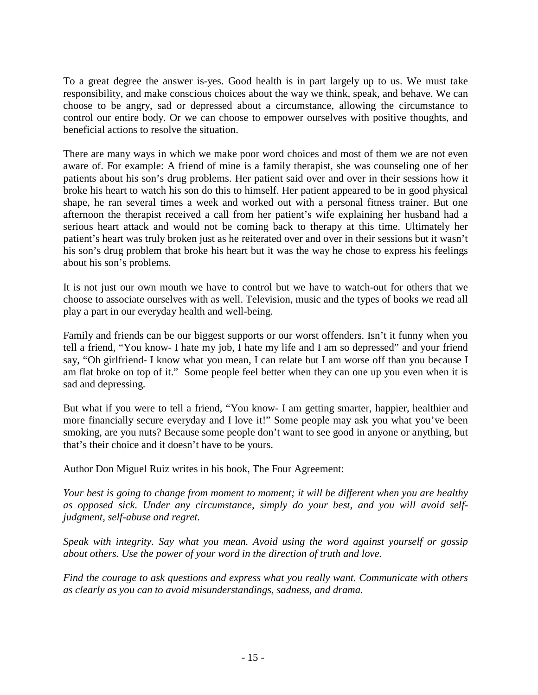To a great degree the answer is-yes. Good health is in part largely up to us. We must take responsibility, and make conscious choices about the way we think, speak, and behave. We can choose to be angry, sad or depressed about a circumstance, allowing the circumstance to control our entire body. Or we can choose to empower ourselves with positive thoughts, and beneficial actions to resolve the situation.

There are many ways in which we make poor word choices and most of them we are not even aware of. For example: A friend of mine is a family therapist, she was counseling one of her patients about his son's drug problems. Her patient said over and over in their sessions how it broke his heart to watch his son do this to himself. Her patient appeared to be in good physical shape, he ran several times a week and worked out with a personal fitness trainer. But one afternoon the therapist received a call from her patient's wife explaining her husband had a serious heart attack and would not be coming back to therapy at this time. Ultimately her patient's heart was truly broken just as he reiterated over and over in their sessions but it wasn't his son's drug problem that broke his heart but it was the way he chose to express his feelings about his son's problems.

It is not just our own mouth we have to control but we have to watch-out for others that we choose to associate ourselves with as well. Television, music and the types of books we read all play a part in our everyday health and well-being.

Family and friends can be our biggest supports or our worst offenders. Isn't it funny when you tell a friend, "You know- I hate my job, I hate my life and I am so depressed" and your friend say, "Oh girlfriend- I know what you mean, I can relate but I am worse off than you because I am flat broke on top of it." Some people feel better when they can one up you even when it is sad and depressing.

But what if you were to tell a friend, "You know- I am getting smarter, happier, healthier and more financially secure everyday and I love it!" Some people may ask you what you've been smoking, are you nuts? Because some people don't want to see good in anyone or anything, but that's their choice and it doesn't have to be yours.

Author Don Miguel Ruiz writes in his book, The Four Agreement:

*Your best is going to change from moment to moment; it will be different when you are healthy as opposed sick. Under any circumstance, simply do your best, and you will avoid selfjudgment, self-abuse and regret.* 

*Speak with integrity. Say what you mean. Avoid using the word against yourself or gossip about others. Use the power of your word in the direction of truth and love.*

*Find the courage to ask questions and express what you really want. Communicate with others as clearly as you can to avoid misunderstandings, sadness, and drama.*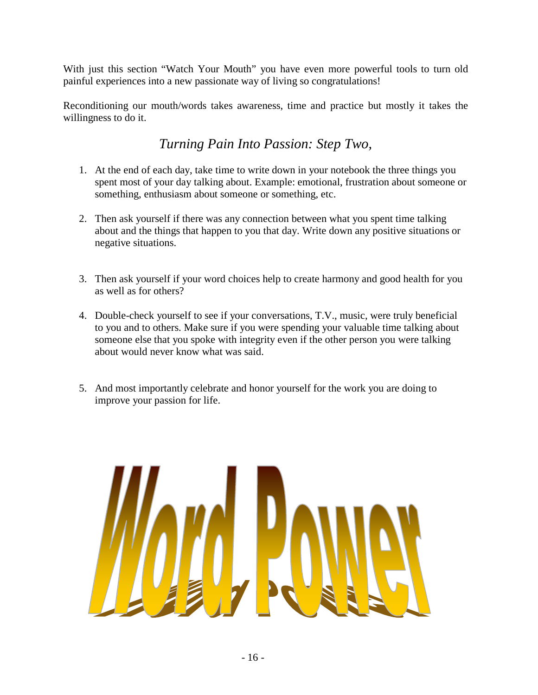With just this section "Watch Your Mouth" you have even more powerful tools to turn old painful experiences into a new passionate way of living so congratulations!

Reconditioning our mouth/words takes awareness, time and practice but mostly it takes the willingness to do it.

### *Turning Pain Into Passion: Step Two,*

- 1. At the end of each day, take time to write down in your notebook the three things you spent most of your day talking about. Example: emotional, frustration about someone or something, enthusiasm about someone or something, etc.
- 2. Then ask yourself if there was any connection between what you spent time talking about and the things that happen to you that day. Write down any positive situations or negative situations.
- 3. Then ask yourself if your word choices help to create harmony and good health for you as well as for others?
- 4. Double-check yourself to see if your conversations, T.V., music, were truly beneficial to you and to others. Make sure if you were spending your valuable time talking about someone else that you spoke with integrity even if the other person you were talking about would never know what was said.
- 5. And most importantly celebrate and honor yourself for the work you are doing to improve your passion for life.

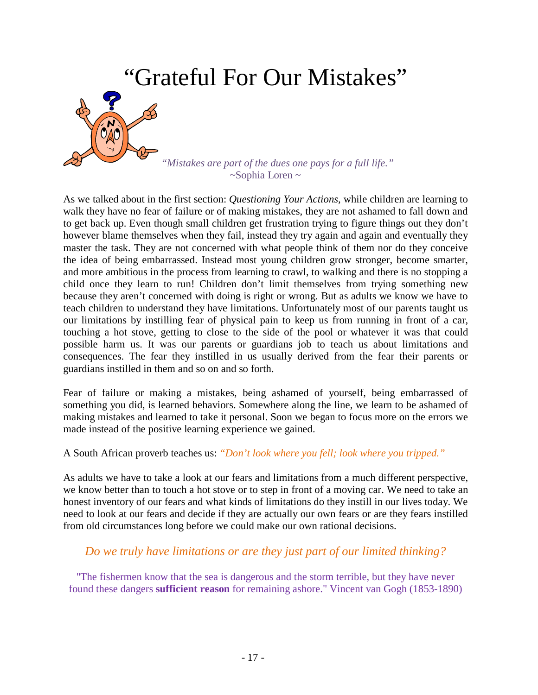

As we talked about in the first section: *Questioning Your Actions,* while children are learning to walk they have no fear of failure or of making mistakes, they are not ashamed to fall down and to get back up. Even though small children get frustration trying to figure things out they don't however blame themselves when they fail, instead they try again and again and eventually they master the task. They are not concerned with what people think of them nor do they conceive the idea of being embarrassed. Instead most young children grow stronger, become smarter, and more ambitious in the process from learning to crawl, to walking and there is no stopping a child once they learn to run! Children don't limit themselves from trying something new because they aren't concerned with doing is right or wrong. But as adults we know we have to teach children to understand they have limitations. Unfortunately most of our parents taught us our limitations by instilling fear of physical pain to keep us from running in front of a car, touching a hot stove, getting to close to the side of the pool or whatever it was that could possible harm us. It was our parents or guardians job to teach us about limitations and consequences. The fear they instilled in us usually derived from the fear their parents or guardians instilled in them and so on and so forth.

Fear of failure or making a mistakes, being ashamed of yourself, being embarrassed of something you did, is learned behaviors. Somewhere along the line, we learn to be ashamed of making mistakes and learned to take it personal. Soon we began to focus more on the errors we made instead of the positive learning experience we gained.

A South African proverb teaches us: *"Don't look where you fell; look where you tripped."*

As adults we have to take a look at our fears and limitations from a much different perspective, we know better than to touch a hot stove or to step in front of a moving car. We need to take an honest inventory of our fears and what kinds of limitations do they instill in our lives today. We need to look at our fears and decide if they are actually our own fears or are they fears instilled from old circumstances long before we could make our own rational decisions.

#### *Do we truly have limitations or are they just part of our limited thinking?*

"The fishermen know that the sea is dangerous and the storm terrible, but they have never found these dangers **sufficient reason** for remaining ashore." Vincent van Gogh (1853-1890)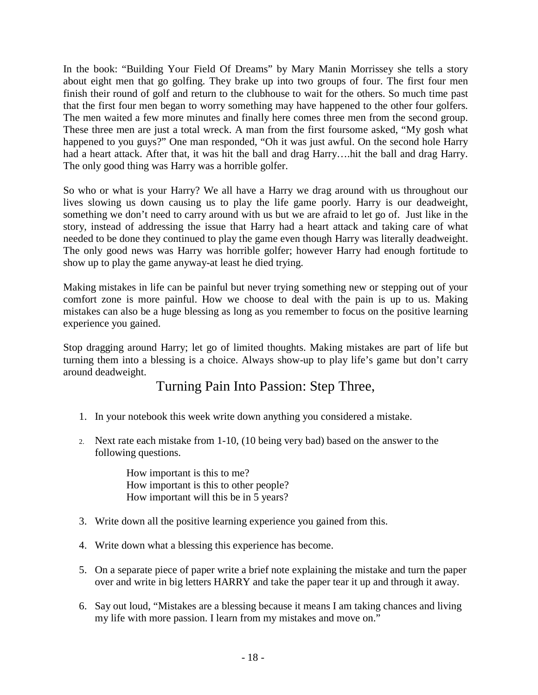In the book: "Building Your Field Of Dreams" by Mary Manin Morrissey she tells a story about eight men that go golfing. They brake up into two groups of four. The first four men finish their round of golf and return to the clubhouse to wait for the others. So much time past that the first four men began to worry something may have happened to the other four golfers. The men waited a few more minutes and finally here comes three men from the second group. These three men are just a total wreck. A man from the first foursome asked, "My gosh what happened to you guys?" One man responded, "Oh it was just awful. On the second hole Harry had a heart attack. After that, it was hit the ball and drag Harry….hit the ball and drag Harry. The only good thing was Harry was a horrible golfer.

So who or what is your Harry? We all have a Harry we drag around with us throughout our lives slowing us down causing us to play the life game poorly. Harry is our deadweight, something we don't need to carry around with us but we are afraid to let go of. Just like in the story, instead of addressing the issue that Harry had a heart attack and taking care of what needed to be done they continued to play the game even though Harry was literally deadweight. The only good news was Harry was horrible golfer; however Harry had enough fortitude to show up to play the game anyway-at least he died trying.

Making mistakes in life can be painful but never trying something new or stepping out of your comfort zone is more painful. How we choose to deal with the pain is up to us. Making mistakes can also be a huge blessing as long as you remember to focus on the positive learning experience you gained.

Stop dragging around Harry; let go of limited thoughts. Making mistakes are part of life but turning them into a blessing is a choice. Always show-up to play life's game but don't carry around deadweight.

### Turning Pain Into Passion: Step Three,

- 1. In your notebook this week write down anything you considered a mistake.
- 2. Next rate each mistake from 1-10, (10 being very bad) based on the answer to the following questions.

How important is this to me? How important is this to other people? How important will this be in 5 years?

- 3. Write down all the positive learning experience you gained from this.
- 4. Write down what a blessing this experience has become.
- 5. On a separate piece of paper write a brief note explaining the mistake and turn the paper over and write in big letters HARRY and take the paper tear it up and through it away.
- 6. Say out loud, "Mistakes are a blessing because it means I am taking chances and living my life with more passion. I learn from my mistakes and move on."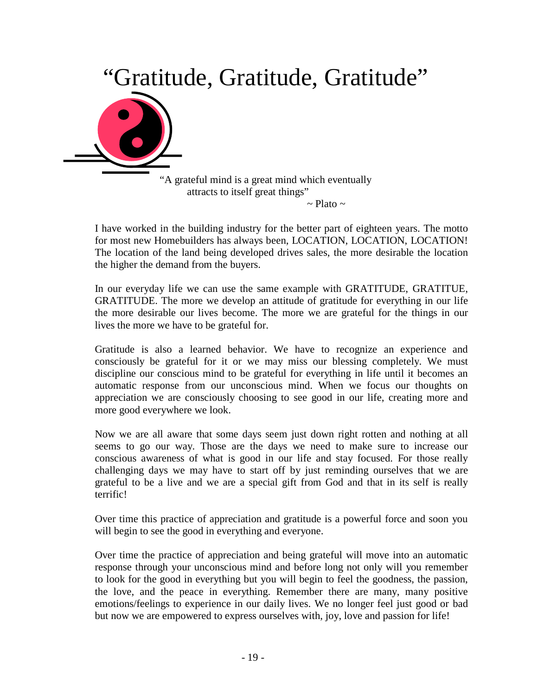

 "A grateful mind is a great mind which eventually attracts to itself great things"  $\sim$  Plato  $\sim$ 

I have worked in the building industry for the better part of eighteen years. The motto for most new Homebuilders has always been, LOCATION, LOCATION, LOCATION! The location of the land being developed drives sales, the more desirable the location the higher the demand from the buyers.

In our everyday life we can use the same example with GRATITUDE, GRATITUE, GRATITUDE. The more we develop an attitude of gratitude for everything in our life the more desirable our lives become. The more we are grateful for the things in our lives the more we have to be grateful for.

Gratitude is also a learned behavior. We have to recognize an experience and consciously be grateful for it or we may miss our blessing completely. We must discipline our conscious mind to be grateful for everything in life until it becomes an automatic response from our unconscious mind. When we focus our thoughts on appreciation we are consciously choosing to see good in our life, creating more and more good everywhere we look.

Now we are all aware that some days seem just down right rotten and nothing at all seems to go our way. Those are the days we need to make sure to increase our conscious awareness of what is good in our life and stay focused. For those really challenging days we may have to start off by just reminding ourselves that we are grateful to be a live and we are a special gift from God and that in its self is really terrific!

Over time this practice of appreciation and gratitude is a powerful force and soon you will begin to see the good in everything and everyone.

Over time the practice of appreciation and being grateful will move into an automatic response through your unconscious mind and before long not only will you remember to look for the good in everything but you will begin to feel the goodness, the passion, the love, and the peace in everything. Remember there are many, many positive emotions/feelings to experience in our daily lives. We no longer feel just good or bad but now we are empowered to express ourselves with, joy, love and passion for life!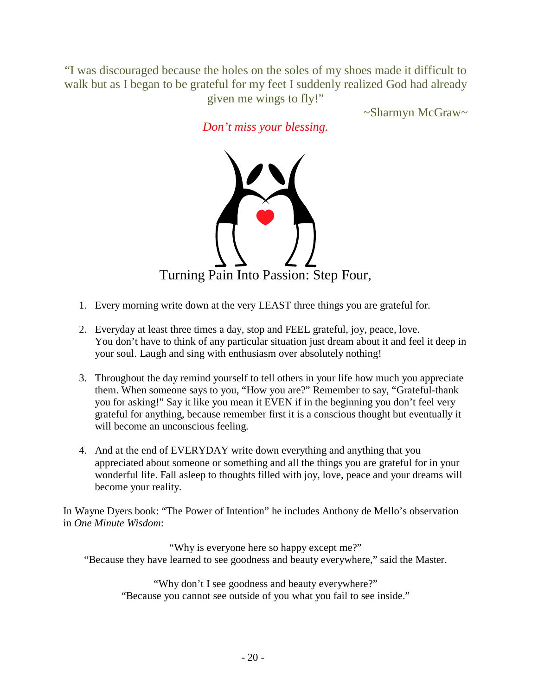"I was discouraged because the holes on the soles of my shoes made it difficult to walk but as I began to be grateful for my feet I suddenly realized God had already given me wings to fly!"

~Sharmyn McGraw~

*Don't miss your blessing.*



- 1. Every morning write down at the very LEAST three things you are grateful for.
- 2. Everyday at least three times a day, stop and FEEL grateful, joy, peace, love. You don't have to think of any particular situation just dream about it and feel it deep in your soul. Laugh and sing with enthusiasm over absolutely nothing!
- 3. Throughout the day remind yourself to tell others in your life how much you appreciate them. When someone says to you, "How you are?" Remember to say, "Grateful-thank you for asking!" Say it like you mean it EVEN if in the beginning you don't feel very grateful for anything, because remember first it is a conscious thought but eventually it will become an unconscious feeling.
- 4. And at the end of EVERYDAY write down everything and anything that you appreciated about someone or something and all the things you are grateful for in your wonderful life. Fall asleep to thoughts filled with joy, love, peace and your dreams will become your reality.

In Wayne Dyers book: "The Power of Intention" he includes Anthony de Mello's observation in *One Minute Wisdom*:

"Why is everyone here so happy except me?" "Because they have learned to see goodness and beauty everywhere," said the Master.

"Why don't I see goodness and beauty everywhere?" "Because you cannot see outside of you what you fail to see inside."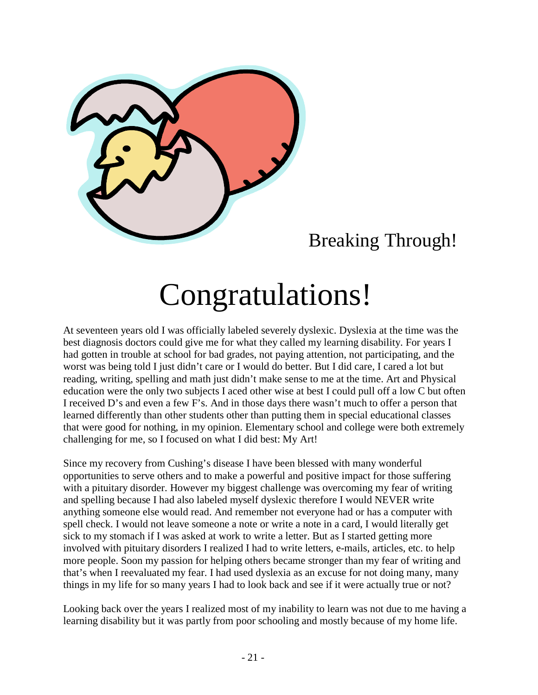

## Breaking Through!

# Congratulations!

At seventeen years old I was officially labeled severely dyslexic. Dyslexia at the time was the best diagnosis doctors could give me for what they called my learning disability. For years I had gotten in trouble at school for bad grades, not paying attention, not participating, and the worst was being told I just didn't care or I would do better. But I did care, I cared a lot but reading, writing, spelling and math just didn't make sense to me at the time. Art and Physical education were the only two subjects I aced other wise at best I could pull off a low C but often I received D's and even a few F's. And in those days there wasn't much to offer a person that learned differently than other students other than putting them in special educational classes that were good for nothing, in my opinion. Elementary school and college were both extremely challenging for me, so I focused on what I did best: My Art!

Since my recovery from Cushing's disease I have been blessed with many wonderful opportunities to serve others and to make a powerful and positive impact for those suffering with a pituitary disorder. However my biggest challenge was overcoming my fear of writing and spelling because I had also labeled myself dyslexic therefore I would NEVER write anything someone else would read. And remember not everyone had or has a computer with spell check. I would not leave someone a note or write a note in a card, I would literally get sick to my stomach if I was asked at work to write a letter. But as I started getting more involved with pituitary disorders I realized I had to write letters, e-mails, articles, etc. to help more people. Soon my passion for helping others became stronger than my fear of writing and that's when I reevaluated my fear. I had used dyslexia as an excuse for not doing many, many things in my life for so many years I had to look back and see if it were actually true or not?

Looking back over the years I realized most of my inability to learn was not due to me having a learning disability but it was partly from poor schooling and mostly because of my home life.